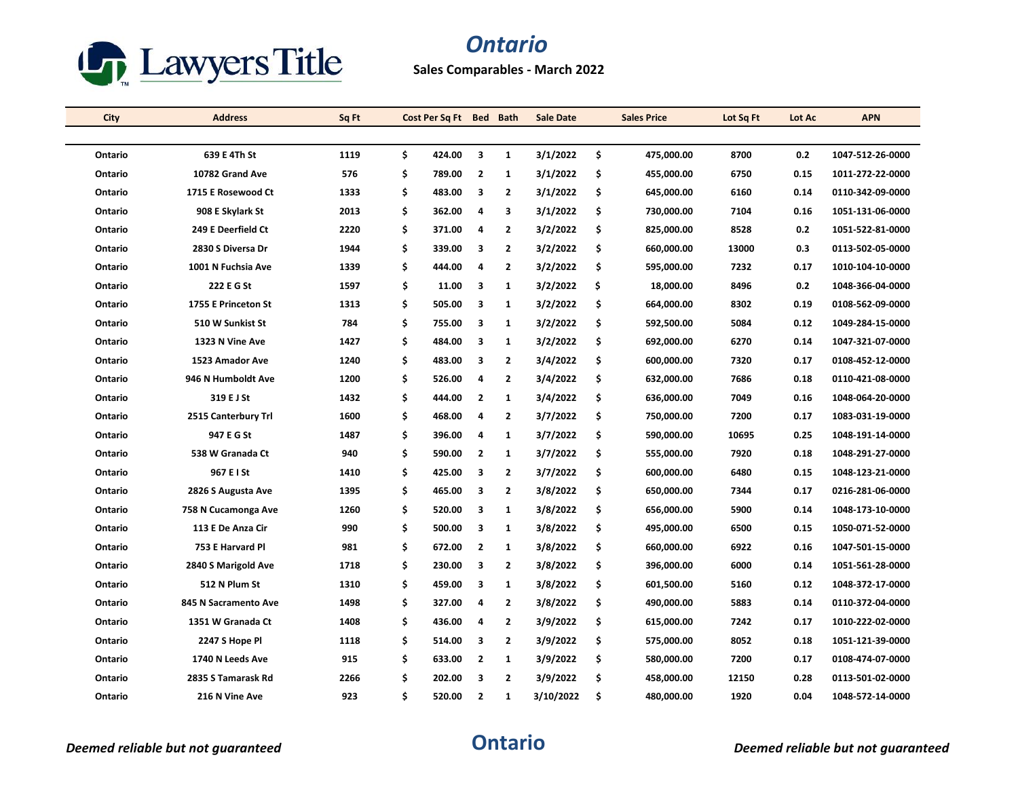

## *Ontario*

**Sales Comparables - March 2022**

| City    | <b>Address</b>       | Sq Ft |    | Cost Per Sq Ft Bed Bath |                |                | <b>Sale Date</b> | <b>Sales Price</b> | Lot Sq Ft | Lot Ac | <b>APN</b>       |
|---------|----------------------|-------|----|-------------------------|----------------|----------------|------------------|--------------------|-----------|--------|------------------|
|         |                      |       |    |                         |                |                |                  |                    |           |        |                  |
| Ontario | 639 E 4Th St         | 1119  | \$ | 424.00                  | 3              | $\mathbf{1}$   | 3/1/2022         | \$<br>475,000.00   | 8700      | 0.2    | 1047-512-26-0000 |
| Ontario | 10782 Grand Ave      | 576   | \$ | 789.00                  | $\overline{2}$ | $\mathbf{1}$   | 3/1/2022         | \$<br>455,000.00   | 6750      | 0.15   | 1011-272-22-0000 |
| Ontario | 1715 E Rosewood Ct   | 1333  | \$ | 483.00                  | 3              | $\mathbf{2}$   | 3/1/2022         | \$<br>645,000.00   | 6160      | 0.14   | 0110-342-09-0000 |
| Ontario | 908 E Skylark St     | 2013  | \$ | 362.00                  | 4              | 3              | 3/1/2022         | \$<br>730,000.00   | 7104      | 0.16   | 1051-131-06-0000 |
| Ontario | 249 E Deerfield Ct   | 2220  | \$ | 371.00                  | 4              | $\overline{2}$ | 3/2/2022         | \$<br>825,000.00   | 8528      | 0.2    | 1051-522-81-0000 |
| Ontario | 2830 S Diversa Dr    | 1944  | \$ | 339.00                  | 3              | $\overline{2}$ | 3/2/2022         | \$<br>660,000.00   | 13000     | 0.3    | 0113-502-05-0000 |
| Ontario | 1001 N Fuchsia Ave   | 1339  | Ś  | 444.00                  | 4              | $\overline{2}$ | 3/2/2022         | \$<br>595,000.00   | 7232      | 0.17   | 1010-104-10-0000 |
| Ontario | 222 E G St           | 1597  | \$ | 11.00                   | 3              | $\mathbf{1}$   | 3/2/2022         | \$<br>18,000.00    | 8496      | 0.2    | 1048-366-04-0000 |
| Ontario | 1755 E Princeton St  | 1313  | \$ | 505.00                  | 3              | $\mathbf{1}$   | 3/2/2022         | \$<br>664,000.00   | 8302      | 0.19   | 0108-562-09-0000 |
| Ontario | 510 W Sunkist St     | 784   | \$ | 755.00                  | 3              | 1              | 3/2/2022         | \$<br>592,500.00   | 5084      | 0.12   | 1049-284-15-0000 |
| Ontario | 1323 N Vine Ave      | 1427  | \$ | 484.00                  | 3              | 1              | 3/2/2022         | \$<br>692,000.00   | 6270      | 0.14   | 1047-321-07-0000 |
| Ontario | 1523 Amador Ave      | 1240  | \$ | 483.00                  | 3              | 2              | 3/4/2022         | \$<br>600,000.00   | 7320      | 0.17   | 0108-452-12-0000 |
| Ontario | 946 N Humboldt Ave   | 1200  | \$ | 526.00                  | 4              | $\overline{2}$ | 3/4/2022         | \$<br>632,000.00   | 7686      | 0.18   | 0110-421-08-0000 |
| Ontario | 319 E J St           | 1432  | \$ | 444.00                  | $\overline{2}$ | $\mathbf{1}$   | 3/4/2022         | \$<br>636,000.00   | 7049      | 0.16   | 1048-064-20-0000 |
| Ontario | 2515 Canterbury Trl  | 1600  | \$ | 468.00                  | 4              | 2              | 3/7/2022         | \$<br>750,000.00   | 7200      | 0.17   | 1083-031-19-0000 |
| Ontario | 947 E G St           | 1487  | \$ | 396.00                  | 4              | $\mathbf{1}$   | 3/7/2022         | \$<br>590,000.00   | 10695     | 0.25   | 1048-191-14-0000 |
| Ontario | 538 W Granada Ct     | 940   | \$ | 590.00                  | $\overline{2}$ | $\mathbf{1}$   | 3/7/2022         | \$<br>555,000.00   | 7920      | 0.18   | 1048-291-27-0000 |
| Ontario | 967 E I St           | 1410  | \$ | 425.00                  | 3              | $\overline{2}$ | 3/7/2022         | \$<br>600,000.00   | 6480      | 0.15   | 1048-123-21-0000 |
| Ontario | 2826 S Augusta Ave   | 1395  | \$ | 465.00                  | 3              | $\mathbf{2}$   | 3/8/2022         | \$<br>650,000.00   | 7344      | 0.17   | 0216-281-06-0000 |
| Ontario | 758 N Cucamonga Ave  | 1260  | \$ | 520.00                  | 3              | 1              | 3/8/2022         | \$<br>656,000.00   | 5900      | 0.14   | 1048-173-10-0000 |
| Ontario | 113 E De Anza Cir    | 990   | \$ | 500.00                  | 3              | $\mathbf{1}$   | 3/8/2022         | \$<br>495,000.00   | 6500      | 0.15   | 1050-071-52-0000 |
| Ontario | 753 E Harvard Pl     | 981   | \$ | 672.00                  | $\overline{2}$ | $\mathbf{1}$   | 3/8/2022         | \$<br>660,000.00   | 6922      | 0.16   | 1047-501-15-0000 |
| Ontario | 2840 S Marigold Ave  | 1718  | \$ | 230.00                  | 3              | 2              | 3/8/2022         | \$<br>396,000.00   | 6000      | 0.14   | 1051-561-28-0000 |
| Ontario | 512 N Plum St        | 1310  | \$ | 459.00                  | 3              | $\mathbf{1}$   | 3/8/2022         | \$<br>601,500.00   | 5160      | 0.12   | 1048-372-17-0000 |
| Ontario | 845 N Sacramento Ave | 1498  | Ś  | 327.00                  | 4              | 2              | 3/8/2022         | \$<br>490,000.00   | 5883      | 0.14   | 0110-372-04-0000 |
| Ontario | 1351 W Granada Ct    | 1408  | \$ | 436.00                  | 4              | $\overline{2}$ | 3/9/2022         | \$<br>615,000.00   | 7242      | 0.17   | 1010-222-02-0000 |
| Ontario | 2247 S Hope Pl       | 1118  | \$ | 514.00                  | 3              | $\overline{2}$ | 3/9/2022         | \$<br>575,000.00   | 8052      | 0.18   | 1051-121-39-0000 |
| Ontario | 1740 N Leeds Ave     | 915   | \$ | 633.00                  | $\overline{2}$ | $\mathbf{1}$   | 3/9/2022         | \$<br>580,000.00   | 7200      | 0.17   | 0108-474-07-0000 |
| Ontario | 2835 S Tamarask Rd   | 2266  | Ś  | 202.00                  | 3              | 2              | 3/9/2022         | \$<br>458,000.00   | 12150     | 0.28   | 0113-501-02-0000 |
| Ontario | 216 N Vine Ave       | 923   | \$ | 520.00                  | $\mathbf{2}$   | 1              | 3/10/2022        | \$<br>480,000.00   | 1920      | 0.04   | 1048-572-14-0000 |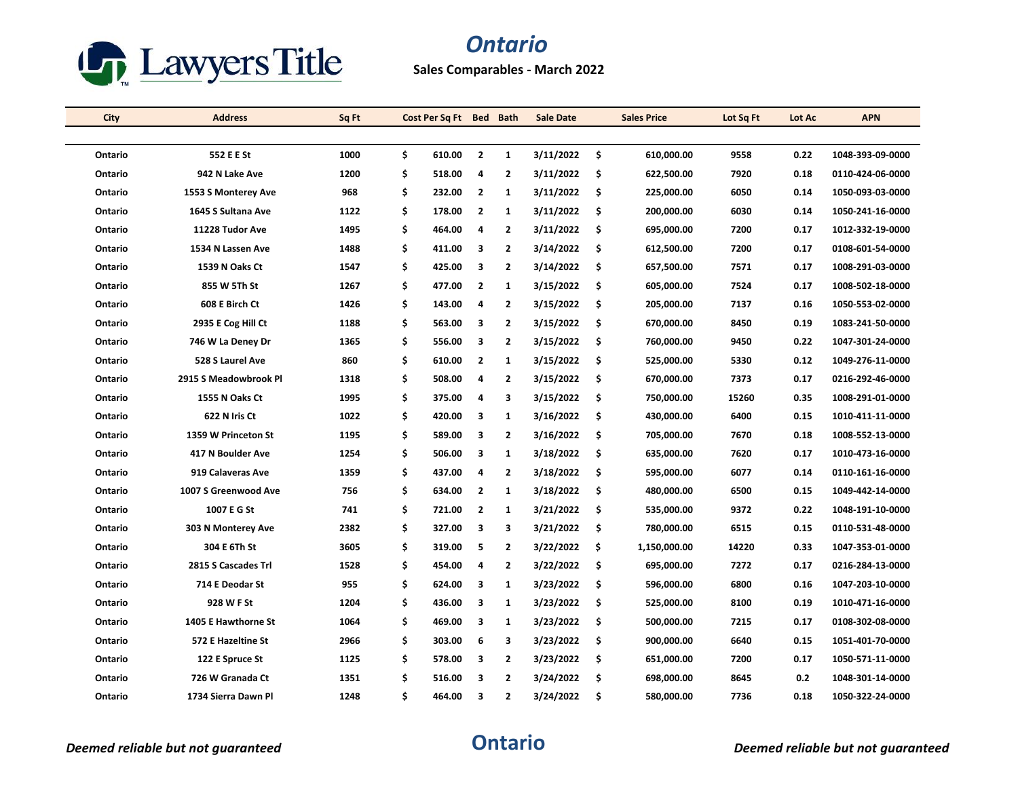

## *Ontario*

**Sales Comparables - March 2022**

| City    | <b>Address</b>        | Sq Ft |    | Cost Per Sq Ft Bed Bath |                |                | <b>Sale Date</b> |     | <b>Sales Price</b> | Lot Sq Ft | Lot Ac | <b>APN</b>       |
|---------|-----------------------|-------|----|-------------------------|----------------|----------------|------------------|-----|--------------------|-----------|--------|------------------|
|         |                       |       |    |                         |                |                |                  |     |                    |           |        |                  |
| Ontario | 552 E E St            | 1000  | \$ | 610.00                  | $\overline{2}$ | $\mathbf{1}$   | 3/11/2022        | \$. | 610.000.00         | 9558      | 0.22   | 1048-393-09-0000 |
| Ontario | 942 N Lake Ave        | 1200  | \$ | 518.00                  | 4              | $\overline{2}$ | 3/11/2022        | -\$ | 622,500.00         | 7920      | 0.18   | 0110-424-06-0000 |
| Ontario | 1553 S Monterey Ave   | 968   | \$ | 232.00                  | $\overline{2}$ | $\mathbf{1}$   | 3/11/2022        | -\$ | 225,000.00         | 6050      | 0.14   | 1050-093-03-0000 |
| Ontario | 1645 S Sultana Ave    | 1122  | \$ | 178.00                  | $\overline{2}$ | 1              | 3/11/2022        | \$  | 200,000.00         | 6030      | 0.14   | 1050-241-16-0000 |
| Ontario | 11228 Tudor Ave       | 1495  | \$ | 464.00                  | 4              | 2              | 3/11/2022        | \$  | 695,000.00         | 7200      | 0.17   | 1012-332-19-0000 |
| Ontario | 1534 N Lassen Ave     | 1488  | \$ | 411.00                  | 3              | $\overline{2}$ | 3/14/2022        | \$  | 612,500.00         | 7200      | 0.17   | 0108-601-54-0000 |
| Ontario | 1539 N Oaks Ct        | 1547  | \$ | 425.00                  | 3              | $\overline{2}$ | 3/14/2022        | \$  | 657,500.00         | 7571      | 0.17   | 1008-291-03-0000 |
| Ontario | 855 W 5Th St          | 1267  | \$ | 477.00                  | $\overline{2}$ | 1              | 3/15/2022        | -\$ | 605,000.00         | 7524      | 0.17   | 1008-502-18-0000 |
| Ontario | 608 E Birch Ct        | 1426  | \$ | 143.00                  | 4              | 2              | 3/15/2022        | \$  | 205,000.00         | 7137      | 0.16   | 1050-553-02-0000 |
| Ontario | 2935 E Cog Hill Ct    | 1188  | \$ | 563.00                  | 3              | 2              | 3/15/2022        | \$  | 670,000.00         | 8450      | 0.19   | 1083-241-50-0000 |
| Ontario | 746 W La Deney Dr     | 1365  | \$ | 556.00                  | 3              | $\overline{2}$ | 3/15/2022        | \$. | 760,000.00         | 9450      | 0.22   | 1047-301-24-0000 |
| Ontario | 528 S Laurel Ave      | 860   | \$ | 610.00                  | $\mathbf{2}$   | $\mathbf{1}$   | 3/15/2022        | \$  | 525,000.00         | 5330      | 0.12   | 1049-276-11-0000 |
| Ontario | 2915 S Meadowbrook Pl | 1318  | \$ | 508.00                  | 4              | $\mathbf{2}$   | 3/15/2022        | \$  | 670,000.00         | 7373      | 0.17   | 0216-292-46-0000 |
| Ontario | 1555 N Oaks Ct        | 1995  | \$ | 375.00                  | 4              | 3              | 3/15/2022        | -\$ | 750,000.00         | 15260     | 0.35   | 1008-291-01-0000 |
| Ontario | 622 N Iris Ct         | 1022  | \$ | 420.00                  | 3              | 1              | 3/16/2022        | \$  | 430,000.00         | 6400      | 0.15   | 1010-411-11-0000 |
| Ontario | 1359 W Princeton St   | 1195  | \$ | 589.00                  | 3              | $\mathbf{2}$   | 3/16/2022        | \$  | 705,000.00         | 7670      | 0.18   | 1008-552-13-0000 |
| Ontario | 417 N Boulder Ave     | 1254  | \$ | 506.00                  | 3              | $\mathbf{1}$   | 3/18/2022        | \$. | 635,000.00         | 7620      | 0.17   | 1010-473-16-0000 |
| Ontario | 919 Calaveras Ave     | 1359  | \$ | 437.00                  | 4              | $\overline{2}$ | 3/18/2022        | \$  | 595,000.00         | 6077      | 0.14   | 0110-161-16-0000 |
| Ontario | 1007 S Greenwood Ave  | 756   | \$ | 634.00                  | $\mathbf{2}$   | 1              | 3/18/2022        | \$  | 480,000.00         | 6500      | 0.15   | 1049-442-14-0000 |
| Ontario | 1007 E G St           | 741   | \$ | 721.00                  | $\overline{2}$ | 1              | 3/21/2022        | \$. | 535,000.00         | 9372      | 0.22   | 1048-191-10-0000 |
| Ontario | 303 N Monterey Ave    | 2382  | \$ | 327.00                  | 3              | 3              | 3/21/2022        | -\$ | 780,000.00         | 6515      | 0.15   | 0110-531-48-0000 |
| Ontario | 304 E 6Th St          | 3605  | \$ | 319.00                  | 5              | 2              | 3/22/2022        | \$  | 1,150,000.00       | 14220     | 0.33   | 1047-353-01-0000 |
| Ontario | 2815 S Cascades Trl   | 1528  | \$ | 454.00                  | 4              | 2              | 3/22/2022        | -\$ | 695,000.00         | 7272      | 0.17   | 0216-284-13-0000 |
| Ontario | 714 E Deodar St       | 955   | \$ | 624.00                  | 3              | $\mathbf{1}$   | 3/23/2022        | \$  | 596,000.00         | 6800      | 0.16   | 1047-203-10-0000 |
| Ontario | 928 W F St            | 1204  | Ś  | 436.00                  | 3              | 1              | 3/23/2022        | \$  | 525,000.00         | 8100      | 0.19   | 1010-471-16-0000 |
| Ontario | 1405 E Hawthorne St   | 1064  | \$ | 469.00                  | 3              | 1              | 3/23/2022        | \$  | 500,000.00         | 7215      | 0.17   | 0108-302-08-0000 |
| Ontario | 572 E Hazeltine St    | 2966  | \$ | 303.00                  | 6              | 3              | 3/23/2022        | \$. | 900,000.00         | 6640      | 0.15   | 1051-401-70-0000 |
| Ontario | 122 E Spruce St       | 1125  | \$ | 578.00                  | 3              | $\overline{2}$ | 3/23/2022        | Ŝ.  | 651,000.00         | 7200      | 0.17   | 1050-571-11-0000 |
| Ontario | 726 W Granada Ct      | 1351  | Ś  | 516.00                  | 3              | $\overline{2}$ | 3/24/2022        | \$  | 698,000.00         | 8645      | 0.2    | 1048-301-14-0000 |
| Ontario | 1734 Sierra Dawn Pl   | 1248  | \$ | 464.00                  | 3              | $\overline{2}$ | 3/24/2022        | \$  | 580,000.00         | 7736      | 0.18   | 1050-322-24-0000 |

*Deemed reliable but not guaranteed* **Ontario** *Deemed reliable but not guaranteed*